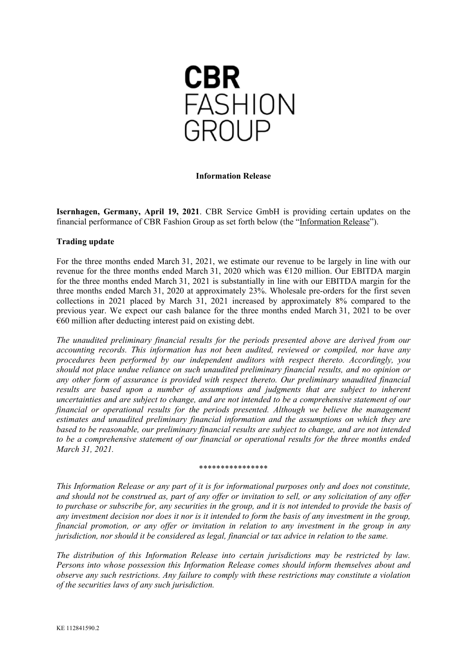

## **Information Release**

**Isernhagen, Germany, April 19, 2021**. CBR Service GmbH is providing certain updates on the financial performance of CBR Fashion Group as set forth below (the "Information Release").

## **Trading update**

For the three months ended March 31, 2021, we estimate our revenue to be largely in line with our revenue for the three months ended March 31, 2020 which was  $E120$  million. Our EBITDA margin for the three months ended March 31, 2021 is substantially in line with our EBITDA margin for the three months ended March 31, 2020 at approximately 23%. Wholesale pre-orders for the first seven collections in 2021 placed by March 31, 2021 increased by approximately 8% compared to the previous year. We expect our cash balance for the three months ended March 31, 2021 to be over €60 million after deducting interest paid on existing debt.

*The unaudited preliminary financial results for the periods presented above are derived from our accounting records. This information has not been audited, reviewed or compiled, nor have any procedures been performed by our independent auditors with respect thereto. Accordingly, you should not place undue reliance on such unaudited preliminary financial results, and no opinion or any other form of assurance is provided with respect thereto. Our preliminary unaudited financial results are based upon a number of assumptions and judgments that are subject to inherent uncertainties and are subject to change, and are not intended to be a comprehensive statement of our financial or operational results for the periods presented. Although we believe the management estimates and unaudited preliminary financial information and the assumptions on which they are based to be reasonable, our preliminary financial results are subject to change, and are not intended to be a comprehensive statement of our financial or operational results for the three months ended March 31, 2021.*

## \*\*\*\*\*\*\*\*\*\*\*\*\*\*\*\*

*This Information Release or any part of it is for informational purposes only and does not constitute, and should not be construed as, part of any offer or invitation to sell, or any solicitation of any offer to purchase or subscribe for, any securities in the group, and it is not intended to provide the basis of any investment decision nor does it nor is it intended to form the basis of any investment in the group, financial promotion, or any offer or invitation in relation to any investment in the group in any jurisdiction, nor should it be considered as legal, financial or tax advice in relation to the same.*

*The distribution of this Information Release into certain jurisdictions may be restricted by law. Persons into whose possession this Information Release comes should inform themselves about and observe any such restrictions. Any failure to comply with these restrictions may constitute a violation of the securities laws of any such jurisdiction.*